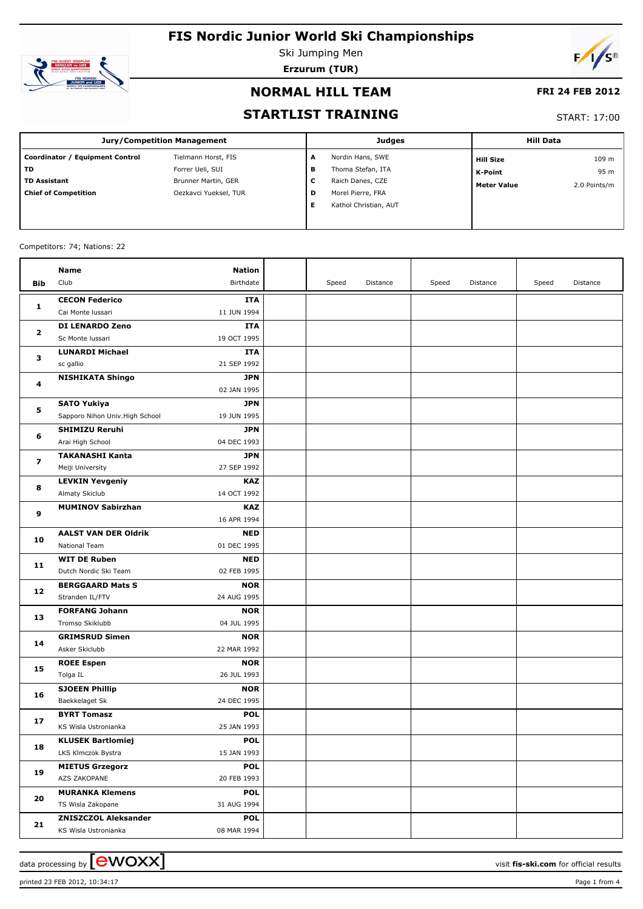

Ski Jumping Men **Erzurum (TUR)**



### **NORMAL HILL TEAM**

### **FRI 24 FEB 2012**

### **STARTLIST TRAINING**

#### START: 17:00

| <b>Jury/Competition Management</b> |                       |   | Judges                | <b>Hill Data</b>   |              |  |
|------------------------------------|-----------------------|---|-----------------------|--------------------|--------------|--|
| Coordinator / Equipment Control    | Tielmann Horst, FIS   | A | Nordin Hans, SWE      | <b>Hill Size</b>   | 109 m        |  |
| TD                                 | Forrer Ueli, SUI      | в | Thoma Stefan, ITA     | K-Point            | 95 m         |  |
| <b>TD Assistant</b>                | Brunner Martin, GER   | с | Raich Danes, CZE      | <b>Meter Value</b> | 2.0 Points/m |  |
| <b>Chief of Competition</b>        | Oezkavci Yueksel, TUR | D | Morel Pierre, FRA     |                    |              |  |
|                                    |                       | Е | Kathol Christian, AUT |                    |              |  |
|                                    |                       |   |                       |                    |              |  |

#### Competitors: 74; Nations: 22

|              | Name                                    | <b>Nation</b>             |       |          |       |          |       |          |
|--------------|-----------------------------------------|---------------------------|-------|----------|-------|----------|-------|----------|
| Bib          | Club                                    | Birthdate                 | Speed | Distance | Speed | Distance | Speed | Distance |
|              | <b>CECON Federico</b>                   | <b>ITA</b>                |       |          |       |          |       |          |
| 1            | Cai Monte Iussari                       | 11 JUN 1994               |       |          |       |          |       |          |
|              | <b>DI LENARDO Zeno</b>                  | <b>ITA</b>                |       |          |       |          |       |          |
| $\mathbf{z}$ | Sc Monte Iussari                        | 19 OCT 1995               |       |          |       |          |       |          |
|              | <b>LUNARDI Michael</b>                  | <b>ITA</b>                |       |          |       |          |       |          |
| з            | sc gallio                               | 21 SEP 1992               |       |          |       |          |       |          |
|              | <b>NISHIKATA Shingo</b>                 | <b>JPN</b>                |       |          |       |          |       |          |
| 4            |                                         | 02 JAN 1995               |       |          |       |          |       |          |
|              | <b>SATO Yukiya</b>                      | <b>JPN</b>                |       |          |       |          |       |          |
| 5            | Sapporo Nihon Univ. High School         | 19 JUN 1995               |       |          |       |          |       |          |
|              | <b>SHIMIZU Reruhi</b>                   | <b>JPN</b>                |       |          |       |          |       |          |
| 6            | Arai High School                        | 04 DEC 1993               |       |          |       |          |       |          |
|              | <b>TAKANASHI Kanta</b>                  | <b>JPN</b>                |       |          |       |          |       |          |
| 7            | Meiji University                        | 27 SEP 1992               |       |          |       |          |       |          |
| 8            | <b>LEVKIN Yevgeniy</b>                  | <b>KAZ</b>                |       |          |       |          |       |          |
|              | Almaty Skiclub                          | 14 OCT 1992               |       |          |       |          |       |          |
| 9            | <b>MUMINOV Sabirzhan</b>                | <b>KAZ</b>                |       |          |       |          |       |          |
|              |                                         | 16 APR 1994               |       |          |       |          |       |          |
| 10           | <b>AALST VAN DER Oldrik</b>             | <b>NED</b>                |       |          |       |          |       |          |
|              | National Team                           | 01 DEC 1995               |       |          |       |          |       |          |
| 11           | <b>WIT DE Ruben</b>                     | <b>NED</b>                |       |          |       |          |       |          |
|              | Dutch Nordic Ski Team                   | 02 FEB 1995               |       |          |       |          |       |          |
| 12           | <b>BERGGAARD Mats S</b>                 | <b>NOR</b>                |       |          |       |          |       |          |
|              | Stranden IL/FTV                         | 24 AUG 1995               |       |          |       |          |       |          |
| 13           | <b>FORFANG Johann</b>                   | <b>NOR</b>                |       |          |       |          |       |          |
|              | Tromso Skiklubb                         | 04 JUL 1995               |       |          |       |          |       |          |
| 14           | <b>GRIMSRUD Simen</b>                   | <b>NOR</b>                |       |          |       |          |       |          |
|              | Asker Skiclubb                          | 22 MAR 1992               |       |          |       |          |       |          |
| 15           | <b>ROEE Espen</b>                       | <b>NOR</b><br>26 JUL 1993 |       |          |       |          |       |          |
|              | Tolga IL                                |                           |       |          |       |          |       |          |
| 16           | <b>SJOEEN Phillip</b><br>Baekkelaget Sk | <b>NOR</b><br>24 DEC 1995 |       |          |       |          |       |          |
|              | <b>BYRT Tomasz</b>                      | <b>POL</b>                |       |          |       |          |       |          |
| 17           | KS Wisla Ustronianka                    | 25 JAN 1993               |       |          |       |          |       |          |
|              | <b>KLUSEK Bartlomiej</b>                | <b>POL</b>                |       |          |       |          |       |          |
| 18           | LKS Klmczok Bystra                      | 15 JAN 1993               |       |          |       |          |       |          |
|              | <b>MIETUS Grzegorz</b>                  | <b>POL</b>                |       |          |       |          |       |          |
| 19           | AZS ZAKOPANE                            | 20 FEB 1993               |       |          |       |          |       |          |
|              | <b>MURANKA Klemens</b>                  | <b>POL</b>                |       |          |       |          |       |          |
| 20           | TS Wisla Zakopane                       | 31 AUG 1994               |       |          |       |          |       |          |
|              | <b>ZNISZCZOL Aleksander</b>             | <b>POL</b>                |       |          |       |          |       |          |
| 21           | KS Wisla Ustronianka                    | 08 MAR 1994               |       |          |       |          |       |          |
|              |                                         |                           |       |          |       |          |       |          |

printed 23 FEB 2012, 10:34:17 Page 1 from 4

data processing by **CWOXX**  $\blacksquare$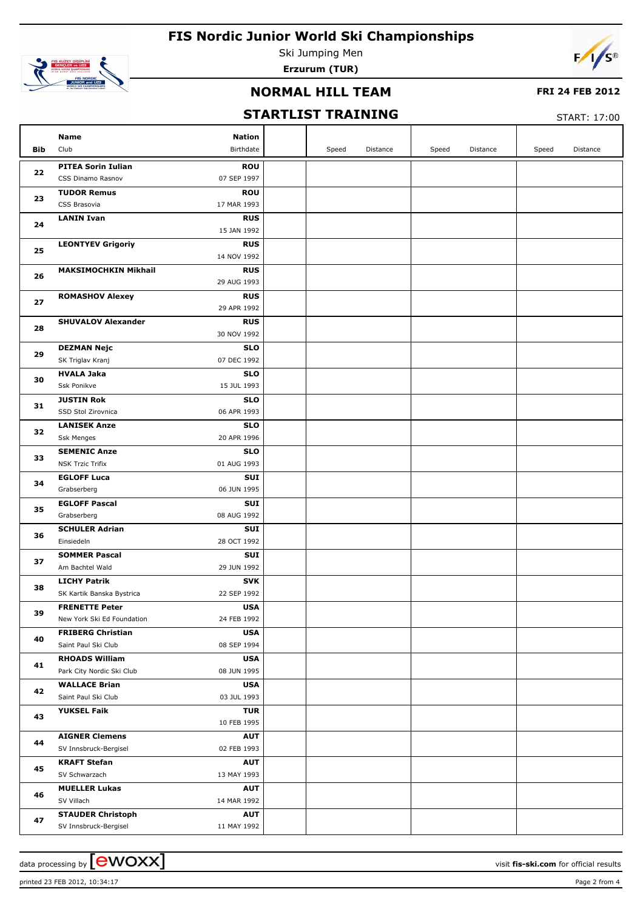

Ski Jumping Men



**Erzurum (TUR)**

## **NORMAL HILL TEAM**

### **FRI 24 FEB 2012**

## **STARTLIST TRAINING**

START: 17:00

|     | Name<br>Club                | <b>Nation</b><br>Birthdate |       |          |       |          |       | Distance |
|-----|-----------------------------|----------------------------|-------|----------|-------|----------|-------|----------|
| Bib |                             |                            | Speed | Distance | Speed | Distance | Speed |          |
| 22  | <b>PITEA Sorin Iulian</b>   | <b>ROU</b>                 |       |          |       |          |       |          |
|     | CSS Dinamo Rasnov           | 07 SEP 1997                |       |          |       |          |       |          |
| 23  | <b>TUDOR Remus</b>          | <b>ROU</b>                 |       |          |       |          |       |          |
|     | CSS Brasovia                | 17 MAR 1993                |       |          |       |          |       |          |
| 24  | <b>LANIN Ivan</b>           | <b>RUS</b>                 |       |          |       |          |       |          |
|     |                             | 15 JAN 1992                |       |          |       |          |       |          |
| 25  | <b>LEONTYEV Grigoriy</b>    | <b>RUS</b>                 |       |          |       |          |       |          |
|     |                             | 14 NOV 1992                |       |          |       |          |       |          |
| 26  | <b>MAKSIMOCHKIN Mikhail</b> | <b>RUS</b>                 |       |          |       |          |       |          |
|     |                             | 29 AUG 1993                |       |          |       |          |       |          |
| 27  | <b>ROMASHOV Alexey</b>      | <b>RUS</b>                 |       |          |       |          |       |          |
|     |                             | 29 APR 1992                |       |          |       |          |       |          |
| 28  | <b>SHUVALOV Alexander</b>   | <b>RUS</b>                 |       |          |       |          |       |          |
|     |                             | 30 NOV 1992                |       |          |       |          |       |          |
| 29  | <b>DEZMAN Nejc</b>          | <b>SLO</b>                 |       |          |       |          |       |          |
|     | SK Triglav Kranj            | 07 DEC 1992                |       |          |       |          |       |          |
| 30  | <b>HVALA Jaka</b>           | <b>SLO</b>                 |       |          |       |          |       |          |
|     | Ssk Ponikve                 | 15 JUL 1993                |       |          |       |          |       |          |
| 31  | <b>JUSTIN Rok</b>           | <b>SLO</b>                 |       |          |       |          |       |          |
|     | SSD Stol Zirovnica          | 06 APR 1993                |       |          |       |          |       |          |
| 32  | <b>LANISEK Anze</b>         | <b>SLO</b>                 |       |          |       |          |       |          |
|     | Ssk Menges                  | 20 APR 1996                |       |          |       |          |       |          |
| 33  | <b>SEMENIC Anze</b>         | <b>SLO</b>                 |       |          |       |          |       |          |
|     | <b>NSK Trzic Trifix</b>     | 01 AUG 1993                |       |          |       |          |       |          |
| 34  | <b>EGLOFF Luca</b>          | SUI                        |       |          |       |          |       |          |
|     | Grabserberg                 | 06 JUN 1995                |       |          |       |          |       |          |
| 35  | <b>EGLOFF Pascal</b>        | SUI                        |       |          |       |          |       |          |
|     | Grabserberg                 | 08 AUG 1992                |       |          |       |          |       |          |
| 36  | <b>SCHULER Adrian</b>       | SUI                        |       |          |       |          |       |          |
|     | Einsiedeln                  | 28 OCT 1992                |       |          |       |          |       |          |
| 37  | <b>SOMMER Pascal</b>        | SUI                        |       |          |       |          |       |          |
|     | Am Bachtel Wald             | 29 JUN 1992                |       |          |       |          |       |          |
| 38  | <b>LICHY Patrik</b>         | <b>SVK</b>                 |       |          |       |          |       |          |
|     | SK Kartik Banska Bystrica   | 22 SEP 1992                |       |          |       |          |       |          |
| 39  | <b>FRENETTE Peter</b>       | USA                        |       |          |       |          |       |          |
|     | New York Ski Ed Foundation  | 24 FEB 1992                |       |          |       |          |       |          |
| 40  | <b>FRIBERG Christian</b>    | <b>USA</b>                 |       |          |       |          |       |          |
|     | Saint Paul Ski Club         | 08 SEP 1994                |       |          |       |          |       |          |
| 41  | <b>RHOADS William</b>       | <b>USA</b>                 |       |          |       |          |       |          |
|     | Park City Nordic Ski Club   | 08 JUN 1995                |       |          |       |          |       |          |
| 42  | <b>WALLACE Brian</b>        | <b>USA</b>                 |       |          |       |          |       |          |
|     | Saint Paul Ski Club         | 03 JUL 1993                |       |          |       |          |       |          |
| 43  | <b>YUKSEL Faik</b>          | <b>TUR</b>                 |       |          |       |          |       |          |
|     |                             | 10 FEB 1995                |       |          |       |          |       |          |
| 44  | <b>AIGNER Clemens</b>       | <b>AUT</b>                 |       |          |       |          |       |          |
|     | SV Innsbruck-Bergisel       | 02 FEB 1993                |       |          |       |          |       |          |
| 45  | <b>KRAFT Stefan</b>         | AUT                        |       |          |       |          |       |          |
|     | SV Schwarzach               | 13 MAY 1993                |       |          |       |          |       |          |
| 46  | <b>MUELLER Lukas</b>        | AUT                        |       |          |       |          |       |          |
|     | SV Villach                  | 14 MAR 1992                |       |          |       |          |       |          |
| 47  | <b>STAUDER Christoph</b>    | AUT                        |       |          |       |          |       |          |
|     | SV Innsbruck-Bergisel       | 11 MAY 1992                |       |          |       |          |       |          |

printed 23 FEB 2012, 10:34:17 Page 2 from 4

data processing by **CWOXX** and the set of the set of the set of the set of the set of the set of the set of the set of the set of the set of the set of the set of the set of the set of the set of the set of the set of the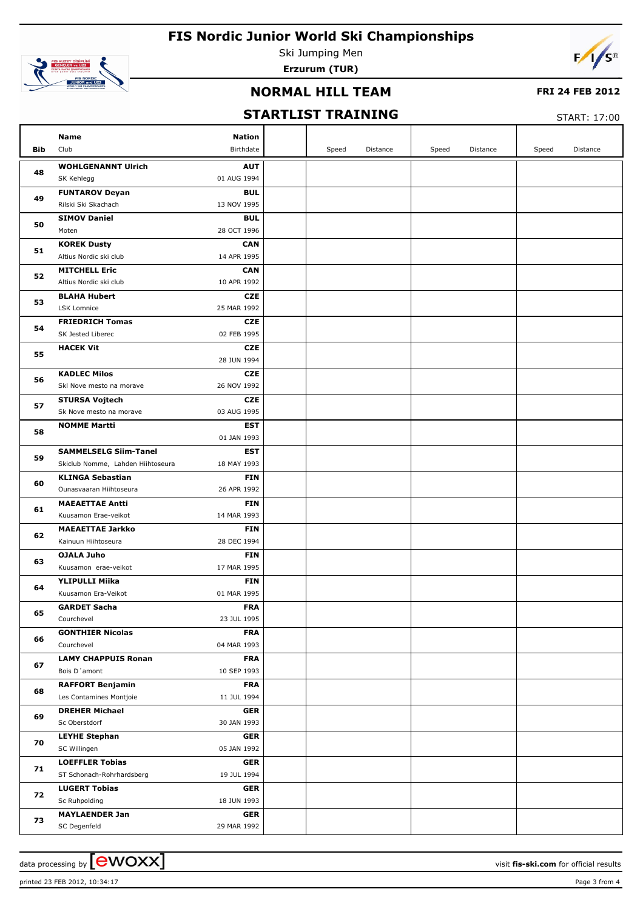

Ski Jumping Men **Erzurum (TUR)**



### **NORMAL HILL TEAM**

### **FRI 24 FEB 2012**

## **STARTLIST TRAINING**

START: 17:00

|     | Name<br><b>Nation</b>                                                         |       |          |       |          |       |          |
|-----|-------------------------------------------------------------------------------|-------|----------|-------|----------|-------|----------|
| Bib | Club<br>Birthdate                                                             | Speed | Distance | Speed | Distance | Speed | Distance |
|     | <b>WOHLGENANNT Ulrich</b><br><b>AUT</b>                                       |       |          |       |          |       |          |
| 48  | SK Kehlegg<br>01 AUG 1994                                                     |       |          |       |          |       |          |
|     | <b>FUNTAROV Deyan</b><br><b>BUL</b>                                           |       |          |       |          |       |          |
| 49  | Rilski Ski Skachach<br>13 NOV 1995                                            |       |          |       |          |       |          |
| 50  | <b>SIMOV Daniel</b><br><b>BUL</b>                                             |       |          |       |          |       |          |
|     | Moten<br>28 OCT 1996                                                          |       |          |       |          |       |          |
| 51  | <b>KOREK Dusty</b><br><b>CAN</b>                                              |       |          |       |          |       |          |
|     | Altius Nordic ski club<br>14 APR 1995                                         |       |          |       |          |       |          |
| 52  | <b>MITCHELL Eric</b><br><b>CAN</b>                                            |       |          |       |          |       |          |
|     | Altius Nordic ski club<br>10 APR 1992                                         |       |          |       |          |       |          |
| 53  | <b>BLAHA Hubert</b><br><b>CZE</b>                                             |       |          |       |          |       |          |
|     | LSK Lomnice<br>25 MAR 1992                                                    |       |          |       |          |       |          |
| 54  | <b>FRIEDRICH Tomas</b><br><b>CZE</b>                                          |       |          |       |          |       |          |
|     | SK Jested Liberec<br>02 FEB 1995                                              |       |          |       |          |       |          |
| 55  | <b>HACEK Vit</b><br><b>CZE</b>                                                |       |          |       |          |       |          |
|     | 28 JUN 1994                                                                   |       |          |       |          |       |          |
| 56  | <b>KADLEC Milos</b><br><b>CZE</b>                                             |       |          |       |          |       |          |
|     | 26 NOV 1992<br>Skl Nove mesto na morave                                       |       |          |       |          |       |          |
| 57  | <b>STURSA Vojtech</b><br><b>CZE</b><br>Sk Nove mesto na morave<br>03 AUG 1995 |       |          |       |          |       |          |
|     | <b>NOMME Martti</b><br><b>EST</b>                                             |       |          |       |          |       |          |
| 58  | 01 JAN 1993                                                                   |       |          |       |          |       |          |
|     | <b>SAMMELSELG Siim-Tanel</b><br><b>EST</b>                                    |       |          |       |          |       |          |
| 59  | Skiclub Nomme, Lahden Hiihtoseura<br>18 MAY 1993                              |       |          |       |          |       |          |
|     | <b>KLINGA Sebastian</b><br><b>FIN</b>                                         |       |          |       |          |       |          |
| 60  | Ounasvaaran Hiihtoseura<br>26 APR 1992                                        |       |          |       |          |       |          |
|     | <b>MAEAETTAE Antti</b><br><b>FIN</b>                                          |       |          |       |          |       |          |
| 61  | Kuusamon Erae-veikot<br>14 MAR 1993                                           |       |          |       |          |       |          |
|     | <b>MAEAETTAE Jarkko</b><br><b>FIN</b>                                         |       |          |       |          |       |          |
| 62  | Kainuun Hiihtoseura<br>28 DEC 1994                                            |       |          |       |          |       |          |
|     | OJALA Juho<br><b>FIN</b>                                                      |       |          |       |          |       |          |
| 63  | Kuusamon erae-veikot<br>17 MAR 1995                                           |       |          |       |          |       |          |
| 64  | YLIPULLI Miika<br><b>FIN</b>                                                  |       |          |       |          |       |          |
|     | 01 MAR 1995<br>Kuusamon Era-Veikot                                            |       |          |       |          |       |          |
| 65  | <b>GARDET Sacha</b><br><b>FRA</b>                                             |       |          |       |          |       |          |
|     | Courchevel<br>23 JUL 1995                                                     |       |          |       |          |       |          |
| 66  | <b>GONTHIER Nicolas</b><br><b>FRA</b>                                         |       |          |       |          |       |          |
|     | 04 MAR 1993<br>Courchevel                                                     |       |          |       |          |       |          |
| 67  | <b>LAMY CHAPPUIS Ronan</b><br><b>FRA</b>                                      |       |          |       |          |       |          |
|     | Bois D'amont<br>10 SEP 1993                                                   |       |          |       |          |       |          |
| 68  | <b>RAFFORT Benjamin</b><br><b>FRA</b>                                         |       |          |       |          |       |          |
|     | 11 JUL 1994<br>Les Contamines Montjoie                                        |       |          |       |          |       |          |
| 69  | <b>DREHER Michael</b><br><b>GER</b>                                           |       |          |       |          |       |          |
|     | Sc Oberstdorf<br>30 JAN 1993                                                  |       |          |       |          |       |          |
| 70  | <b>LEYHE Stephan</b><br><b>GER</b><br>05 JAN 1992                             |       |          |       |          |       |          |
|     | SC Willingen<br><b>GER</b>                                                    |       |          |       |          |       |          |
| 71  | <b>LOEFFLER Tobias</b><br>ST Schonach-Rohrhardsberg<br>19 JUL 1994            |       |          |       |          |       |          |
|     | <b>LUGERT Tobias</b><br><b>GER</b>                                            |       |          |       |          |       |          |
| 72  | Sc Ruhpolding<br>18 JUN 1993                                                  |       |          |       |          |       |          |
|     | <b>MAYLAENDER Jan</b><br><b>GER</b>                                           |       |          |       |          |       |          |
| 73  | 29 MAR 1992<br>SC Degenfeld                                                   |       |          |       |          |       |          |
|     |                                                                               |       |          |       |          |       |          |